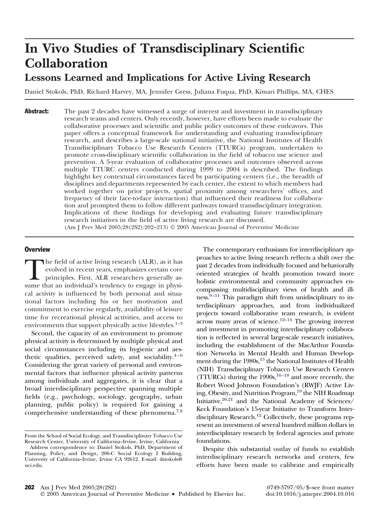# **In Vivo Studies of Transdisciplinary Scientific Collaboration**

# **Lessons Learned and Implications for Active Living Research**

Daniel Stokols, PhD, Richard Harvey, MA, Jennifer Gress, Juliana Fuqua, PhD, Kimari Phillips, MA, CHES

**Abstract:** The past 2 decades have witnessed a surge of interest and investment in transdisciplinary research teams and centers. Only recently, however, have efforts been made to evaluate the collaborative processes and scientific and public policy outcomes of these endeavors. This paper offers a conceptual framework for understanding and evaluating transdisciplinary research, and describes a large-scale national initiative, the National Institutes of Health Transdisciplinary Tobacco Use Research Centers (TTURCs) program, undertaken to promote cross-disciplinary scientific collaboration in the field of tobacco use science and prevention. A 5-year evaluation of collaborative processes and outcomes observed across multiple TTURC centers conducted during 1999 to 2004 is described. The findings highlight key contextual circumstances faced by participating centers (i.e., the breadth of disciplines and departments represented by each center, the extent to which members had worked together on prior projects, spatial proximity among researchers' offices, and frequency of their face-to-face interaction) that influenced their readiness for collaboration and prompted them to follow different pathways toward transdisciplinary integration. Implications of these findings for developing and evaluating future transdisciplinary research initiatives in the field of active living research are discussed. (Am J Prev Med 2005;28(2S2):202–213) © 2005 American Journal of Preventive Medicine

**Overview** 

The field of active living research (ALR), as it has evolved in recent years, emphasizes certain core principles. First, ALR researchers generally assume that an individual's tendency to engage in physievolved in recent years, emphasizes certain core principles. First, ALR researchers generally ascal activity is influenced by both personal and situational factors including his or her motivation and commitment to exercise regularly, availability of leisure time for recreational physical activities, and access to environments that support physically active lifestyles.<sup>1-3</sup>

Second, the capacity of an environment to promote physical activity is determined by multiple physical and social circumstances including its hygienic and aesthetic qualities, perceived safety, and sociability. $4-6$ Considering the great variety of personal and environmental factors that influence physical activity patterns among individuals and aggregates, it is clear that a broad interdisciplinary perspective spanning multiple fields (e.g., psychology, sociology, geography, urban planning, public policy) is required for gaining a comprehensive understanding of these phenomena[.7,8](#page-11-0)

The contemporary enthusiasm for interdisciplinary approaches to active living research reflects a shift over the past 2 decades from individually focused and behaviorally oriented strategies of health promotion toward more holistic environmental and community approaches encompassing multidisciplinary views of health and illness. $9-11$  This paradigm shift from unidisciplinary to interdisciplinary approaches, and from individualized projects toward collaborative team research, is evident across many areas of science.<sup>12–14</sup> The growing interest and investment in promoting interdisciplinary collaboration is reflected in several large-scale research initiatives, including the establishment of the MacArthur Foundation Networks in Mental Health and Human Development during the 1980s,<sup>15</sup> the National Institutes of Health (NIH) Transdisciplinary Tobacco Use Research Centers (TTURCs) during the  $1990s$ , <sup>16–18</sup> and more recently, the Robert Wood Johnson Foundation's (RWJF) Active Living, Obesity, and Nutrition Program,<sup>19</sup> the NIH Roadmap Initiative[,20,21](#page-11-0) and the National Academy of Sciences/ Keck Foundation's 15-year Initiative to Transform Interdisciplinary Research.<sup>12</sup> Collectively, these programs represent an investment of several hundred million dollars in interdisciplinary research by federal agencies and private foundations.

Despite this substantial outlay of funds to establish interdisciplinary research networks and centers, few efforts have been made to calibrate and empirically

From the School of Social Ecology, and Transdisciplinary Tobacco Use Research Center, University of California–Irvine, Irvine, California

Address correspondence to: Daniel Stokols, PhD, Department of Planning, Policy, and Design, 206-C Social Ecology I Building, University of California–Irvine, Irvine CA 92612. E-mail: dstokols@ uci.edu.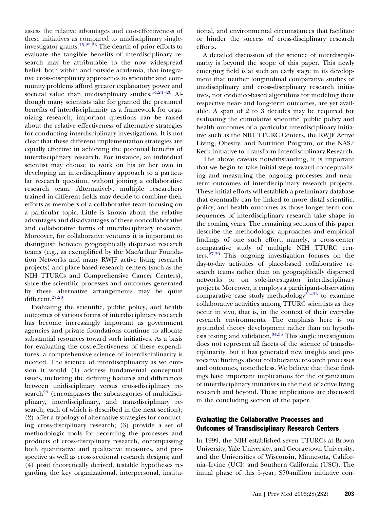assess the relative advantages and cost-effectiveness of these initiatives as compared to unidisciplinary singleinvestigator grants[.15,22,23](#page-11-0) The dearth of prior efforts to evaluate the tangible benefits of interdisciplinary research may be attributable to the now widespread belief, both within and outside academia, that integrative cross-disciplinary approaches to scientific and community problems afford greater explanatory power and societal value than unidisciplinary studies.<sup>14,24-26</sup> Although many scientists take for granted the presumed benefits of interdisciplinarity as a framework for organizing research, important questions can be raised about the relative effectiveness of alternative strategies for conducting interdisciplinary investigations. It is not clear that these different implementation strategies are equally effective in achieving the potential benefits of interdisciplinary research. For instance, an individual scientist may choose to work on his or her own in developing an interdisciplinary approach to a particular research question, without joining a collaborative research team. Alternatively, multiple researchers trained in different fields may decide to combine their efforts as members of a collaborative team focusing on a particular topic. Little is known about the relative advantages and disadvantages of these noncollaborative and collaborative forms of interdisciplinary research. Moreover, for collaborative ventures it is important to distinguish between geographically dispersed research teams (e.g., as exemplified by the MacArthur Foundation Networks and many RWJF active living research projects) and place-based research centers (such as the NIH TTURCs and Comprehensive Cancer Centers), since the scientific processes and outcomes generated by these alternative arrangements may be quite different.<sup>27,28</sup>

Evaluating the scientific, public policy, and health outcomes of various forms of interdisciplinary research has become increasingly important as government agencies and private foundations continue to allocate substantial resources toward such initiatives. As a basis for evaluating the cost-effectiveness of these expenditures, a comprehensive science of interdisciplinarity is needed. The science of interdisciplinarity as we envision it would (1) address fundamental conceptual issues, including the defining features and differences between unidisciplinary versus cross-disciplinary research<sup>29</sup> (encompasses the subcategories of multidisciplinary, interdisciplinary, and transdisciplinary research, each of which is described in the next section); (2) offer a typology of alternative strategies for conducting cross-disciplinary research; (3) provide a set of methodologic tools for recording the processes and products of cross-disciplinary research, encompassing both quantitative and qualitative measures, and prospective as well as cross-sectional research designs; and (4) posit theoretically derived, testable hypotheses regarding the key organizational, interpersonal, institu-

tional, and environmental circumstances that facilitate or hinder the success of cross-disciplinary research efforts.

A detailed discussion of the science of interdisciplinarity is beyond the scope of this paper. This newly emerging field is at such an early stage in its development that neither longitudinal comparative studies of unidisciplinary and cross-disciplinary research initiatives, nor evidence-based algorithms for modeling their respective near- and long-term outcomes, are yet available. A span of 2 to 3 decades may be required for evaluating the cumulative scientific, public policy and health outcomes of a particular interdisciplinary initiative such as the NIH TTURC Centers, the RWJF Active Living, Obesity, and Nutrition Program, or the NAS/ Keck Initiative to Transform Interdisciplinary Research.

The above caveats notwithstanding, it is important that we begin to take initial steps toward conceptualizing and measuring the ongoing processes and nearterm outcomes of interdisciplinary research projects. These initial efforts will establish a preliminary database that eventually can be linked to more distal scientific, policy, and health outcomes as those longer-term consequences of interdisciplinary research take shape in the coming years. The remaining sections of this paper describe the methodologic approaches and empirical findings of one such effort, namely, a cross-center comparative study of multiple NIH TTURC centers[.27,30](#page-11-0) This ongoing investigation focuses on the day-to-day activities of place-based collaborative research teams rather than on geographically dispersed networks or on sole-investigator interdisciplinary projects. Moreover, it employs a participant-observation comparative case study methodology $31-33$  to examine collaborative activities among TTURC scientists as they occur in vivo, that is, in the context of their everyday research environments. The emphasis here is on grounded theory development rather than on hypothesis testing and validation.<sup>34,35</sup> This single investigation does not represent all facets of the science of transdisciplinarity, but it has generated new insights and provocative findings about collaborative research processes and outcomes, nonetheless. We believe that these findings have important implications for the organization of interdisciplinary initiatives in the field of active living research and beyond. These implications are discussed in the concluding section of the paper.

#### Evaluating the Collaborative Processes and Outcomes of Transdisciplinary Research Centers

In 1999, the NIH established seven TTURCs at Brown University, Yale University, and Georgetown University, and the Universities of Wisconsin, Minnesota, California–Irvine (UCI) and Southern California (USC). The initial phase of this 5-year, \$70-million initiative con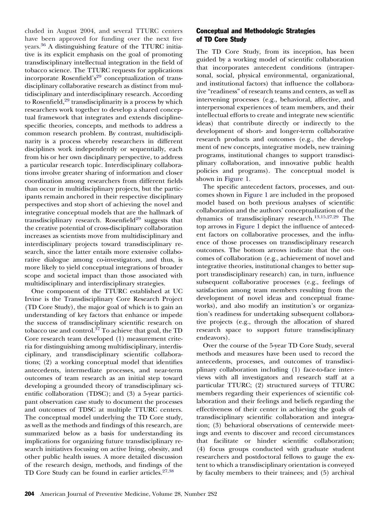cluded in August 2004, and several TTURC centers have been approved for funding over the next five years[.36](#page-11-0) A distinguishing feature of the TTURC initiative is its explicit emphasis on the goal of promoting transdisciplinary intellectual integration in the field of tobacco science. The TTURC requests for applications incorporate Rosenfield's<sup>29</sup> conceptualization of transdisciplinary collaborative research as distinct from multidisciplinary and interdisciplinary research. According to Rosenfield,<sup>29</sup> transdisciplinarity is a process by which researchers work together to develop a shared conceptual framework that integrates and extends disciplinespecific theories, concepts, and methods to address a common research problem. By contrast, multidisciplinarity is a process whereby researchers in different disciplines work independently or sequentially, each from his or her own disciplinary perspective, to address a particular research topic. Interdisciplinary collaborations involve greater sharing of information and closer coordination among researchers from different fields than occur in multidisciplinary projects, but the participants remain anchored in their respective disciplinary perspectives and stop short of achieving the novel and integrative conceptual models that are the hallmark of transdisciplinary research. Rosenfield<sup>29</sup> suggests that the creative potential of cross-disciplinary collaboration increases as scientists move from multidisciplinary and interdisciplinary projects toward transdisciplinary research, since the latter entails more extensive collaborative dialogue among co-investigators, and thus, is more likely to yield conceptual integrations of broader scope and societal impact than those associated with multidisciplinary and interdisciplinary strategies.

One component of the TTURC established at UC Irvine is the Transdisciplinary Core Research Project (TD Core Study), the major goal of which is to gain an understanding of key factors that enhance or impede the success of transdisciplinary scientific research on tobacco use and control. $37$  To achieve that goal, the TD Core research team developed (1) measurement criteria for distinguishing among multidisciplinary, interdisciplinary, and transdisciplinary scientific collaborations; (2) a working conceptual model that identifies antecedents, intermediate processes, and near-term outcomes of team research as an initial step toward developing a grounded theory of transdisciplinary scientific collaboration (TDSC); and (3) a 5-year participant observation case study to document the processes and outcomes of TDSC at multiple TTURC centers. The conceptual model underlying the TD Core study, as well as the methods and findings of this research, are summarized below as a basis for understanding its implications for organizing future transdisciplinary research initiatives focusing on active living, obesity, and other public health issues. A more detailed discussion of the research design, methods, and findings of the TD Core Study can be found in earlier articles.<sup>27,38</sup>

#### Conceptual and Methodologic Strategies of TD Core Study

The TD Core Study, from its inception, has been guided by a working model of scientific collaboration that incorporates antecedent conditions (intrapersonal, social, physical environmental, organizational, and institutional factors) that influence the collaborative "readiness" of research teams and centers, as well as intervening processes (e.g., behavioral, affective, and interpersonal experiences of team members, and their intellectual efforts to create and integrate new scientific ideas) that contribute directly or indirectly to the development of short- and longer-term collaborative research products and outcomes (e.g., the development of new concepts, integrative models, new training programs, institutional changes to support transdisciplinary collaboration, and innovative public health policies and programs). The conceptual model is shown in [Figure 1.](#page-3-0)

The specific antecedent factors, processes, and outcomes shown in [Figure 1](#page-3-0) are included in the proposed model based on both previous analyses of scientific collaboration and the authors' conceptualization of the dynamics of transdisciplinary research[.13,15,27,29](#page-11-0) The top arrows in [Figure 1](#page-3-0) depict the influence of antecedent factors on collaborative processes, and the influence of those processes on transdisciplinary research outcomes. The bottom arrows indicate that the outcomes of collaboration (e.g., achievement of novel and integrative theories, institutional changes to better support transdisciplinary research) can, in turn, influence subsequent collaborative processes (e.g., feelings of satisfaction among team members resulting from the development of novel ideas and conceptual frameworks), and also modify an institution's or organization's readiness for undertaking subsequent collaborative projects (e.g., through the allocation of shared research space to support future transdisciplinary endeavors).

Over the course of the 5-year TD Core Study, several methods and measures have been used to record the antecedents, processes, and outcomes of transdisciplinary collaboration including (1) face-to-face interviews with all investigators and research staff at a particular TTURC; (2) structured surveys of TTURC members regarding their experiences of scientific collaboration and their feelings and beliefs regarding the effectiveness of their center in achieving the goals of transdisciplinary scientific collaboration and integration; (3) behavioral observations of centerwide meetings and events to discover and record circumstances that facilitate or hinder scientific collaboration; (4) focus groups conducted with graduate student researchers and postdoctoral fellows to gauge the extent to which a transdisciplinary orientation is conveyed by faculty members to their trainees; and (5) archival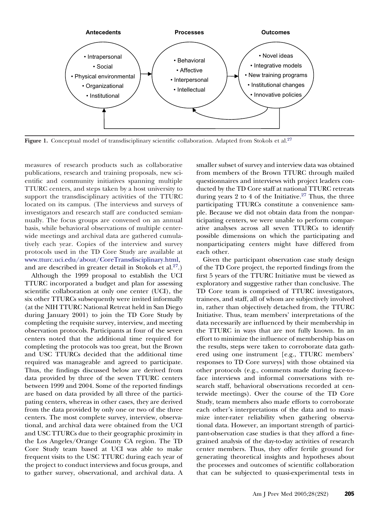<span id="page-3-0"></span>

Figure 1. Conceptual model of transdisciplinary scientific collaboration. Adapted from Stokols et al.<sup>27</sup>

measures of research products such as collaborative publications, research and training proposals, new scientific and community initiatives spanning multiple TTURC centers, and steps taken by a host university to support the transdisciplinary activities of the TTURC located on its campus. (The interviews and surveys of investigators and research staff are conducted semiannually. The focus groups are convened on an annual basis, while behavioral observations of multiple centerwide meetings and archival data are gathered cumulatively each year. Copies of the interview and survey protocols used in the TD Core Study are available at [www.tturc.uci.edu/about/CoreTransdisciplinary.html,](http://www.tturc.uci.edu/about/CoreTransdisciplinary.html) and are described in greater detail in Stokols et al.<sup>27</sup>.)

Although the 1999 proposal to establish the UCI TTURC incorporated a budget and plan for assessing scientific collaboration at only one center (UCI), the six other TTURCs subsequently were invited informally (at the NIH TTURC National Retreat held in San Diego during January 2001) to join the TD Core Study by completing the requisite survey, interview, and meeting observation protocols. Participants at four of the seven centers noted that the additional time required for completing the protocols was too great, but the Brown and USC TTURCs decided that the additional time required was manageable and agreed to participate. Thus, the findings discussed below are derived from data provided by three of the seven TTURC centers between 1999 and 2004. Some of the reported findings are based on data provided by all three of the participating centers, whereas in other cases, they are derived from the data provided by only one or two of the three centers. The most complete survey, interview, observational, and archival data were obtained from the UCI and USC TTURCs due to their geographic proximity in the Los Angeles/Orange County CA region. The TD Core Study team based at UCI was able to make frequent visits to the USC TTURC during each year of the project to conduct interviews and focus groups, and to gather survey, observational, and archival data. A smaller subset of survey and interview data was obtained from members of the Brown TTURC through mailed questionnaires and interviews with project leaders conducted by the TD Core staff at national TTURC retreats during years 2 to 4 of the Initiative.<sup>27</sup> Thus, the three participating TTURCs constitute a convenience sample. Because we did not obtain data from the nonparticipating centers, we were unable to perform comparative analyses across all seven TTURCs to identify possible dimensions on which the participating and nonparticipating centers might have differed from each other.

Given the participant observation case study design of the TD Core project, the reported findings from the first 5 years of the TTURC Initiative must be viewed as exploratory and suggestive rather than conclusive. The TD Core team is comprised of TTURC investigators, trainees, and staff, all of whom are subjectively involved in, rather than objectively detached from, the TTURC Initiative. Thus, team members' interpretations of the data necessarily are influenced by their membership in the TTURC in ways that are not fully known. In an effort to minimize the influence of membership bias on the results, steps were taken to corroborate data gathered using one instrument [e.g., TTURC members' responses to TD Core surveys] with those obtained via other protocols (e.g., comments made during face-toface interviews and informal conversations with research staff, behavioral observations recorded at centerwide meetings). Over the course of the TD Core Study, team members also made efforts to corroborate each other's interpretations of the data and to maximize inter-rater reliability when gathering observational data. However, an important strength of participant-observation case studies is that they afford a finegrained analysis of the day-to-day activities of research center members. Thus, they offer fertile ground for generating theoretical insights and hypotheses about the processes and outcomes of scientific collaboration that can be subjected to quasi-experimental tests in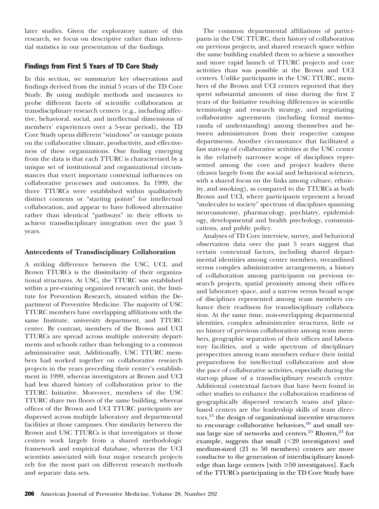later studies. Given the exploratory nature of this research, we focus on descriptive rather than inferential statistics in our presentation of the findings.

## Findings from First 5 Years of TD Core Study

In this section, we summarize key observations and findings derived from the initial 5 years of the TD Core Study. By using multiple methods and measures to probe different facets of scientific collaboration at transdisciplinary research centers (e.g., including affective, behavioral, social, and intellectual dimensions of members' experiences over a 5-year period), the TD Core Study opens different "windows" or vantage points on the collaborative climate, productivity, and effectiveness of these organizations. One finding emerging from the data is that each TTURC is characterized by a unique set of institutional and organizational circumstances that exert important contextual influences on collaborative processes and outcomes. In 1999, the three TTURCs were established within qualitatively distinct contexts or "starting points" for intellectual collaboration, and appear to have followed alternative rather than identical "pathways" in their efforts to achieve transdisciplinary integration over the past 5 years.

## **Antecedents of Transdisciplinary Collaboration**

A striking difference between the USC, UCI, and Brown TTURCs is the dissimilarity of their organizational structures. At USC, the TTURC was established within a pre-existing organized research unit, the Institute for Prevention Research, situated within the Department of Preventive Medicine. The majority of USC TTURC members have overlapping affiliations with the same Institute, university department, and TTURC center. By contrast, members of the Brown and UCI TTURCs are spread across multiple university departments and schools rather than belonging to a common administrative unit. Additionally, USC TTURC members had worked together on collaborative research projects in the years preceding their center's establishment in 1999, whereas investigators at Brown and UCI had less shared history of collaboration prior to the TTURC Initiative. Moreover, members of the USC TTURC share two floors of the same building, whereas offices of the Brown and UCI TTURC participants are dispersed across multiple laboratory and departmental facilities at those campuses. One similarity between the Brown and USC TTURCs is that investigators at those centers work largely from a shared methodologic framework and empirical database, whereas the UCI scientists associated with four major research projects rely for the most part on different research methods and separate data sets.

The common departmental affiliations of participants in the USC TTURC, their history of collaboration on previous projects, and shared research space within the same building enabled them to achieve a smoother and more rapid launch of TTURC projects and core activities than was possible at the Brown and UCI centers. Unlike participants in the USC TTURC, members of the Brown and UCI centers reported that they spent substantial amounts of time during the first 2 years of the Initiative resolving differences in scientific terminology and research strategy, and negotiating collaborative agreements (including formal memoranda of understanding) among themselves and between administrators from their respective campus departments. Another circumstance that facilitated a fast start-up of collaborative activities at the USC center is the relatively narrower scope of disciplines represented among the core and project leaders there (drawn largely from the social and behavioral sciences, with a shared focus on the links among culture, ethnicity, and smoking), as compared to the TTURCs at both Brown and UCI, where participants represent a broad "molecules to society" spectrum of disciplines spanning neuroanatomy, pharmacology, psychiatry, epidemiology, developmental and health psychology, communications, and public policy.

Analyses of TD Core interview, survey, and behavioral observation data over the past 5 years suggest that certain contextual factors, including shared departmental identities among center members, streamlined versus complex administrative arrangements, a history of collaboration among participants on previous research projects, spatial proximity among their offices and laboratory space, and a narrow versus broad scope of disciplines represented among team members enhance their readiness for transdisciplinary collaboration. At the same time, non-overlapping departmental identities, complex administrative structures, little or no history of previous collaboration among team members, geographic separation of their offices and laboratory facilities, and a wide spectrum of disciplinary perspectives among team members reduce their initial preparedness for intellectual collaboration and slow the pace of collaborative activities, especially during the start-up phase of a transdisciplinary research center. Additional contextual factors that have been found in other studies to enhance the collaboration readiness of geographically dispersed research teams and placebased centers are the leadership skills of team directors,<sup>15</sup> the design of organizational incentive structures to encourage collaborative behaviors,<sup>39</sup> and small versus large size of networks and centers.<sup>23</sup> Rhoten,<sup>23</sup> for example, suggests that small  $( $20$  investigators)$  and medium-sized (21 to 50 members) centers are more conducive to the generation of interdisciplinary knowledge than large centers [with  $\geq 50$  investigators]. Each of the TTURCs participating in the TD Core Study have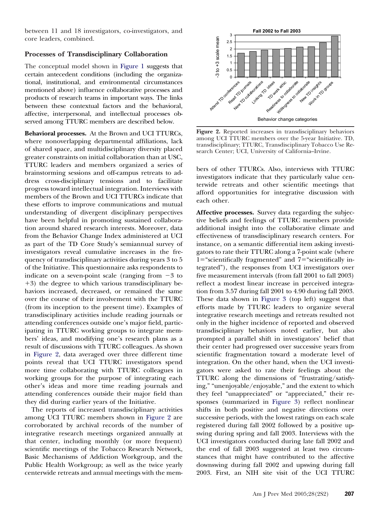between 11 and 18 investigators, co-investigators, and core leaders, combined.

#### **Processes of Transdisciplinary Collaboration**

The conceptual model shown in [Figure 1](#page-3-0) suggests that certain antecedent conditions (including the organizational, institutional, and environmental circumstances mentioned above) influence collaborative processes and products of research teams in important ways. The links between these contextual factors and the behavioral, affective, interpersonal, and intellectual processes observed among TTURC members are described below.

**Behavioral processes.** At the Brown and UCI TTURCs, where nonoverlapping departmental affiliations, lack of shared space, and multidisciplinary diversity placed greater constraints on initial collaboration than at USC, TTURC leaders and members organized a series of brainstorming sessions and off-campus retreats to address cross-disciplinary tensions and to facilitate progress toward intellectual integration. Interviews with members of the Brown and UCI TTURCs indicate that these efforts to improve communications and mutual understanding of divergent disciplinary perspectives have been helpful in promoting sustained collaboration around shared research interests. Moreover, data from the Behavior Change Index administered at UCI as part of the TD Core Study's semiannual survey of investigators reveal cumulative increases in the frequency of transdisciplinary activities during years 3 to 5 of the Initiative. This questionnaire asks respondents to indicate on a seven-point scale (ranging from -3 to  $+3$ ) the degree to which various transdisciplinary behaviors increased, decreased, or remained the same over the course of their involvement with the TTURC (from its inception to the present time). Examples of transdisciplinary activities include reading journals or attending conferences outside one's major field, participating in TTURC working groups to integrate members' ideas, and modifying one's research plans as a result of discussions with TTURC colleagues. As shown in Figure 2, data averaged over three different time points reveal that UCI TTURC investigators spend more time collaborating with TTURC colleagues in working groups for the purpose of integrating each other's ideas and more time reading journals and attending conferences outside their major field than they did during earlier years of the Initiative.

The reports of increased transdisciplinary activities among UCI TTURC members shown in Figure 2 are corroborated by archival records of the number of integrative research meetings organized annually at that center, including monthly (or more frequent) scientific meetings of the Tobacco Research Network, Basic Mechanisms of Addiction Workgroup, and the Public Health Workgroup; as well as the twice yearly centerwide retreats and annual meetings with the mem-



**Figure 2.** Reported increases in transdisciplinary behaviors among UCI TTURC members over the 5-year Initiative. TD, transdisciplinary; TTURC, Transdisciplinary Tobacco Use Research Center; UCI, University of California–Irvine.

bers of other TTURCs. Also, interviews with TTURC investigators indicate that they particularly value centerwide retreats and other scientific meetings that afford opportunities for integrative discussion with each other.

**Affective processes.** Survey data regarding the subjective beliefs and feelings of TTURC members provide additional insight into the collaborative climate and effectiveness of transdisciplinary research centers. For instance, on a semantic differential item asking investigators to rate their TTURC along a 7-point scale (where  $1$ ="scientifically fragmented" and  $7$ ="scientifically integrated"), the responses from UCI investigators over five measurement intervals (from fall 2001 to fall 2003) reflect a modest linear increase in perceived integration from 3.57 during fall 2001 to 4.90 during fall 2003. These data shown in [Figure 3](#page-6-0) (top left) suggest that efforts made by TTURC leaders to organize several integrative research meetings and retreats resulted not only in the higher incidence of reported and observed transdisciplinary behaviors noted earlier, but also prompted a parallel shift in investigators' belief that their center had progressed over successive years from scientific fragmentation toward a moderate level of integration. On the other hand, when the UCI investigators were asked to rate their feelings about the TTURC along the dimensions of "frustrating/satisfying," "unenjoyable/enjoyable," and the extent to which they feel "unappreciated" or "appreciated," their responses (summarized in [Figure 3\)](#page-6-0) reflect nonlinear shifts in both positive and negative directions over successive periods, with the lowest ratings on each scale registered during fall 2002 followed by a positive upswing during spring and fall 2003. Interviews with the UCI investigators conducted during late fall 2002 and the end of fall 2003 suggested at least two circumstances that might have contributed to the affective downswing during fall 2002 and upswing during fall 2003. First, an NIH site visit of the UCI TTURC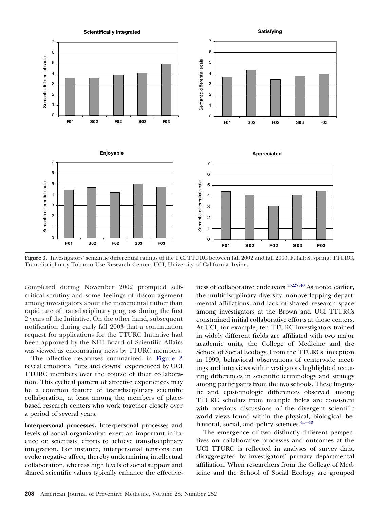<span id="page-6-0"></span>

**Figure 3.** Investigators' semantic differential ratings of the UCI TTURC between fall 2002 and fall 2003. F, fall; S, spring; TTURC, Transdisciplinary Tobacco Use Research Center; UCI, University of California–Irvine.

completed during November 2002 prompted selfcritical scrutiny and some feelings of discouragement among investigators about the incremental rather than rapid rate of transdisciplinary progress during the first 2 years of the Initiative. On the other hand, subsequent notification during early fall 2003 that a continuation request for applications for the TTURC Initiative had been approved by the NIH Board of Scientific Affairs was viewed as encouraging news by TTURC members.

The affective responses summarized in Figure 3 reveal emotional "ups and downs" experienced by UCI TTURC members over the course of their collaboration. This cyclical pattern of affective experiences may be a common feature of transdisciplinary scientific collaboration, at least among the members of placebased research centers who work together closely over a period of several years.

**Interpersonal processes.** Interpersonal processes and levels of social organization exert an important influence on scientists' efforts to achieve transdisciplinary integration. For instance, interpersonal tensions can evoke negative affect, thereby undermining intellectual collaboration, whereas high levels of social support and shared scientific values typically enhance the effectiveness of collaborative endeavors[.15,27,40](#page-11-0) As noted earlier, the multidisciplinary diversity, nonoverlapping departmental affiliations, and lack of shared research space among investigators at the Brown and UCI TTURCs constrained initial collaborative efforts at those centers. At UCI, for example, ten TTURC investigators trained in widely different fields are affiliated with two major academic units, the College of Medicine and the School of Social Ecology. From the TTURCs' inception in 1999, behavioral observations of centerwide meetings and interviews with investigators highlighted recurring differences in scientific terminology and strategy among participants from the two schools. These linguistic and epistemologic differences observed among TTURC scholars from multiple fields are consistent with previous discussions of the divergent scientific world views found within the physical, biological, behavioral, social, and policy sciences.<sup>41-43</sup>

The emergence of two distinctly different perspectives on collaborative processes and outcomes at the UCI TTURC is reflected in analyses of survey data, disaggregated by investigators' primary departmental affiliation. When researchers from the College of Medicine and the School of Social Ecology are grouped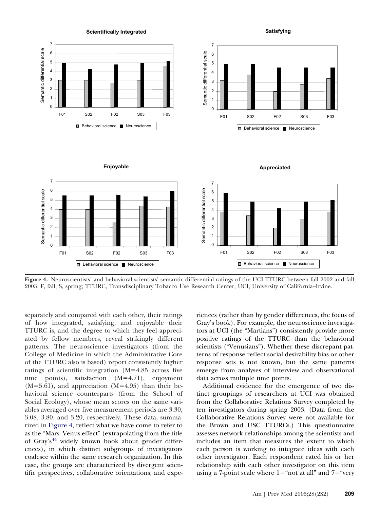<span id="page-7-0"></span>

**Figure 4.** Neuroscientists' and behavioral scientists' semantic differential ratings of the UCI TTURC between fall 2002 and fall 2003. F, fall; S, spring; TTURC, Transdisciplinary Tobacco Use Research Center; UCI, University of California–Irvine.

separately and compared with each other, their ratings of how integrated, satisfying, and enjoyable their TTURC is, and the degree to which they feel appreciated by fellow members, reveal strikingly different patterns. The neuroscience investigators (from the College of Medicine in which the Administrative Core of the TTURC also is based) report consistently higher ratings of scientific integration  $(M=4.85$  across five time points), satisfaction  $(M=4.71)$ , enjoyment  $(M=5.61)$ , and appreciation  $(M=4.95)$  than their behavioral science counterparts (from the School of Social Ecology), whose mean scores on the same variables averaged over five measurement periods are 3.30, 3.08, 3.80, and 3.20, respectively. These data, summarized in Figure 4, reflect what we have come to refer to as the "Mars–Venus effect" (extrapolating from the title of Gray's<sup>[44](#page-11-0)</sup> widely known book about gender differences), in which distinct subgroups of investigators coalesce within the same research organization. In this case, the groups are characterized by divergent scientific perspectives, collaborative orientations, and experiences (rather than by gender differences, the focus of Gray's book). For example, the neuroscience investigators at UCI (the "Martians") consistently provide more positive ratings of the TTURC than the behavioral scientists ("Venusians"). Whether these discrepant patterns of response reflect social desirability bias or other response sets is not known, but the same patterns emerge from analyses of interview and observational data across multiple time points.

Additional evidence for the emergence of two distinct groupings of researchers at UCI was obtained from the Collaborative Relations Survey completed by ten investigators during spring 2003. (Data from the Collaborative Relations Survey were not available for the Brown and USC TTURCs.) This questionnaire assesses network relationships among the scientists and includes an item that measures the extent to which each person is working to integrate ideas with each other investigator. Each respondent rated his or her relationship with each other investigator on this item using a 7-point scale where  $1 = \text{``not at all''}$  and  $7 = \text{``very}$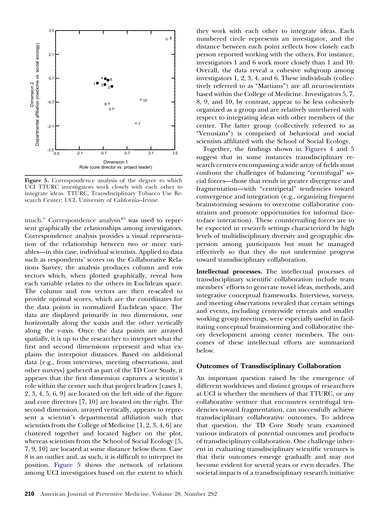

**Figure 5.** Correspondence analysis of the degree to which UCI TTURC investigators work closely with each other to integrate ideas. TTURC, Transdisciplinary Tobacco Use Research Center; UCI, University of California–Irvine.

much." Correspondence analysis<sup>45</sup> was used to represent graphically the relationships among investigators. Correspondence analysis provides a visual representation of the relationship between two or more variables—in this case, individual scientists. Applied to data such as respondents' scores on the Collaborative Relations Survey, the analysis produces column and row vectors which, when plotted graphically, reveal how each variable relates to the others in Euclidean space. The column and row vectors are then re-scaled to provide optimal scores, which are the coordinates for the data points in normalized Euclidean space. The data are displayed primarily in two dimensions, one horizontally along the x-axis and the other vertically along the y-axis. Once the data points are arrayed spatially, it is up to the researcher to interpret what the first and second dimensions represent and what explains the interpoint distances. Based on additional data [e.g., from interviews, meeting observations, and other surveys] gathered as part of the TD Core Study, it appears that the first dimension captures a scientist's role within the center such that project leaders [cases 1, 2, 3, 4, 5, 6, 9] are located on the left side of the figure and core directors [7, 10] are located on the right. The second dimension, arrayed vertically, appears to represent a scientist's departmental affiliation such that scientists from the College of Medicine [1, 2, 3, 4, 6] are clustered together and located higher on the plot, whereas scientists from the School of Social Ecology [5, 7, 9, 10] are located at some distance below them. Case 8 is an outlier and, as such, it is difficult to interpret its position. Figure 5 shows the network of relations among UCI investigators based on the extent to which

they work with each other to integrate ideas. Each numbered circle represents an investigator, and the distance between each point reflects how closely each person reported working with the others. For instance, investigators 1 and 6 work more closely than 1 and 10. Overall, the data reveal a cohesive subgroup among investigators 1, 2, 3, 4, and 6. These individuals (collectively referred to as "Martians") are all neuroscientists based within the College of Medicine. Investigators 5, 7, 8, 9, and 10, by contrast, appear to be less cohesively organized as a group and are relatively untethered with respect to integrating ideas with other members of the center. The latter group (collectively referred to as "Venusians") is comprised of behavioral and social scientists affiliated with the School of Social Ecology.

Together, the findings shown in [Figures 4](#page-7-0) and 5 suggest that in some instances transdisciplinary research centers encompassing a wide array of fields must confront the challenges of balancing "centrifugal" social forces—those that result in greater divergence and fragmentation—with "centripetal" tendencies toward convergence and integration (e.g., organizing frequent brainstorming sessions to overcome collaborative constraints and promote opportunities for informal faceto-face interaction). These countervailing forces are to be expected in research settings characterized by high levels of multidisciplinary diversity and geographic dispersion among participants but must be managed effectively so that they do not undermine progress toward transdisciplinary collaboration.

**Intellectual processes.** The intellectual processes of transdisciplinary scientific collaboration include team members' efforts to generate novel ideas, methods, and integrative conceptual frameworks. Interviews, surveys, and meeting observations revealed that certain settings and events, including centerwide retreats and smaller working group meetings, were especially useful in facilitating conceptual brainstorming and collaborative theory development among center members. The outcomes of these intellectual efforts are summarized below.

#### **Outcomes of Transdisciplinary Collaboration**

An important question raised by the emergence of different worldviews and distinct groups of researchers at UCI is whether the members of that TTURC, or any collaborative venture that encounters centrifugal tendencies toward fragmentation, can successfully achieve transdisciplinary collaborative outcomes. To address that question, the TD Core Study team examined various indicators of potential outcomes and products of transdisciplinary collaboration. One challenge inherent in evaluating transdisciplinary scientific ventures is that their outcomes emerge gradually and may not become evident for several years or even decades. The societal impacts of a transdisciplinary research initiative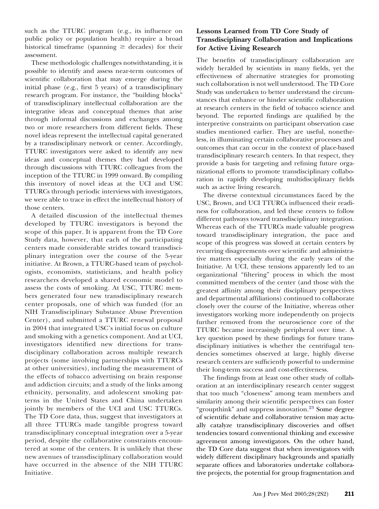such as the TTURC program (e.g., its influence on public policy or population health) require a broad historical timeframe (spanning  $\geq$  decades) for their assessment.

These methodologic challenges notwithstanding, it is possible to identify and assess near-term outcomes of scientific collaboration that may emerge during the initial phase (e.g., first 5 years) of a transdisciplinary research program. For instance, the "building blocks" of transdisciplinary intellectual collaboration are the integrative ideas and conceptual themes that arise through informal discussions and exchanges among two or more researchers from different fields. These novel ideas represent the intellectual capital generated by a transdisciplinary network or center. Accordingly, TTURC investigators were asked to identify any new ideas and conceptual themes they had developed through discussions with TTURC colleagues from the inception of the TTURC in 1999 onward. By compiling this inventory of novel ideas at the UCI and USC TTURCs through periodic interviews with investigators, we were able to trace in effect the intellectual history of those centers.

A detailed discussion of the intellectual themes developed by TTURC investigators is beyond the scope of this paper. It is apparent from the TD Core Study data, however, that each of the participating centers made considerable strides toward transdisciplinary integration over the course of the 5-year initiative. At Brown, a TTURC-based team of psychologists, economists, statisticians, and health policy researchers developed a shared economic model to assess the costs of smoking. At USC, TTURC members generated four new transdisciplinary research center proposals, one of which was funded (for an NIH Transdisciplinary Substance Abuse Prevention Center), and submitted a TTURC renewal proposal in 2004 that integrated USC's initial focus on culture and smoking with a genetics component. And at UCI, investigators identified new directions for transdisciplinary collaboration across multiple research projects (some involving partnerships with TTURCs at other universities), including the measurement of the effects of tobacco advertising on brain response and addiction circuits; and a study of the links among ethnicity, personality, and adolescent smoking patterns in the United States and China undertaken jointly by members of the UCI and USC TTURCs. The TD Core data, thus, suggest that investigators at all three TTURCs made tangible progress toward transdisciplinary conceptual integration over a 5-year period, despite the collaborative constraints encountered at some of the centers. It is unlikely that these new avenues of transdisciplinary collaboration would have occurred in the absence of the NIH TTURC Initiative.

## **Lessons Learned from TD Core Study of Transdisciplinary Collaboration and Implications for Active Living Research**

The benefits of transdisciplinary collaboration are widely heralded by scientists in many fields, yet the effectiveness of alternative strategies for promoting such collaboration is not well understood. The TD Core Study was undertaken to better understand the circumstances that enhance or hinder scientific collaboration at research centers in the field of tobacco science and beyond. The reported findings are qualified by the interpretive constraints on participant observation case studies mentioned earlier. They are useful, nonetheless, in illuminating certain collaborative processes and outcomes that can occur in the context of place-based transdisciplinary research centers. In that respect, they provide a basis for targeting and refining future organizational efforts to promote transdisciplinary collaboration in rapidly developing multidisciplinary fields such as active living research.

The diverse contextual circumstances faced by the USC, Brown, and UCI TTURCs influenced their readiness for collaboration, and led these centers to follow different pathways toward transdisciplinary integration. Whereas each of the TTURCs made valuable progress toward transdisciplinary integration, the pace and scope of this progress was slowed at certain centers by recurring disagreements over scientific and administrative matters especially during the early years of the Initiative. At UCI, these tensions apparently led to an organizational "filtering" process in which the most committed members of the center (and those with the greatest affinity among their disciplinary perspectives and departmental affiliations) continued to collaborate closely over the course of the Initiative, whereas other investigators working more independently on projects further removed from the neuroscience core of the TTURC became increasingly peripheral over time. A key question posed by these findings for future transdisciplinary initiatives is whether the centrifugal tendencies sometimes observed at large, highly diverse research centers are sufficiently powerful to undermine their long-term success and cost-effectiveness.

The findings from at least one other study of collaboration at an interdisciplinary research center suggest that too much "closeness" among team members and similarity among their scientific perspectives can foster "groupthink" and suppress innovation.<sup>23</sup> Some degree of scientific debate and collaborative tension may actually catalyze transdisciplinary discoveries and offset tendencies toward conventional thinking and excessive agreement among investigators. On the other hand, the TD Core data suggest that when investigators with widely different disciplinary backgrounds and spatially separate offices and laboratories undertake collaborative projects, the potential for group fragmentation and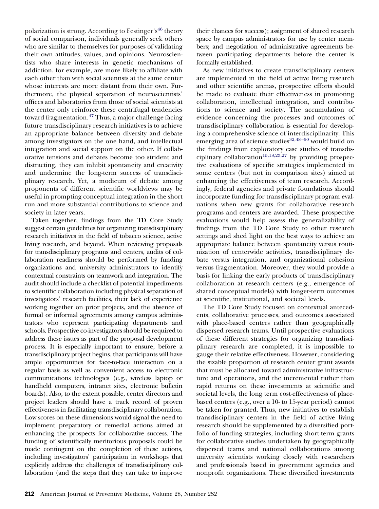polarization is strong. According to Festinger's<sup>46</sup> theory of social comparison, individuals generally seek others who are similar to themselves for purposes of validating their own attitudes, values, and opinions. Neuroscientists who share interests in genetic mechanisms of addiction, for example, are more likely to affiliate with each other than with social scientists at the same center whose interests are more distant from their own. Furthermore, the physical separation of neuroscientists' offices and laboratories from those of social scientists at the center only reinforce these centrifugal tendencies toward fragmentation. $47$  Thus, a major challenge facing future transdisciplinary research initiatives is to achieve an appropriate balance between diversity and debate among investigators on the one hand, and intellectual integration and social support on the other. If collaborative tensions and debates become too strident and distracting, they can inhibit spontaneity and creativity and undermine the long-term success of transdisciplinary research. Yet, a modicum of debate among proponents of different scientific worldviews may be useful in prompting conceptual integration in the short run and more substantial contributions to science and society in later years.

Taken together, findings from the TD Core Study suggest certain guidelines for organizing transdisciplinary research initiatives in the field of tobacco science, active living research, and beyond. When reviewing proposals for transdisciplinary programs and centers, audits of collaboration readiness should be performed by funding organizations and university administrators to identify contextual constraints on teamwork and integration. The audit should include a checklist of potential impediments to scientific collaboration including physical separation of investigators' research facilities, their lack of experience working together on prior projects, and the absence of formal or informal agreements among campus administrators who represent participating departments and schools. Prospective co-investigators should be required to address these issues as part of the proposal development process. It is especially important to ensure, before a transdisciplinary project begins, that participants will have ample opportunities for face-to-face interaction on a regular basis as well as convenient access to electronic communications technologies (e.g., wireless laptop or handheld computers, intranet sites, electronic bulletin boards). Also, to the extent possible, center directors and project leaders should have a track record of proven effectiveness in facilitating transdisciplinary collaboration. Low scores on these dimensions would signal the need to implement preparatory or remedial actions aimed at enhancing the prospects for collaborative success. The funding of scientifically meritorious proposals could be made contingent on the completion of these actions, including investigators' participation in workshops that explicitly address the challenges of transdisciplinary collaboration (and the steps that they can take to improve

their chances for success); assignment of shared research space by campus administrators for use by center members; and negotiation of administrative agreements between participating departments before the center is formally established.

As new initiatives to create transdisciplinary centers are implemented in the field of active living research and other scientific arenas, prospective efforts should be made to evaluate their effectiveness in promoting collaboration, intellectual integration, and contributions to science and society. The accumulation of evidence concerning the processes and outcomes of transdisciplinary collaboration is essential for developing a comprehensive science of interdisciplinarity. This emerging area of science studies $32,48-50$  would build on the findings from exploratory case studies of transdisciplinary collaboration<sup>15,18,23,27</sup> by providing prospective evaluations of specific strategies implemented in some centers (but not in comparison sites) aimed at enhancing the effectiveness of team research. Accordingly, federal agencies and private foundations should incorporate funding for transdisciplinary program evaluations when new grants for collaborative research programs and centers are awarded. These prospective evaluations would help assess the generalizability of findings from the TD Core Study to other research settings and shed light on the best ways to achieve an appropriate balance between spontaneity versus routinization of centerwide activities, transdisciplinary debate versus integration, and organizational cohesion versus fragmentation. Moreover, they would provide a basis for linking the early products of transdisciplinary collaboration at research centers (e.g., emergence of shared conceptual models) with longer-term outcomes at scientific, institutional, and societal levels.

The TD Core Study focused on contextual antecedents, collaborative processes, and outcomes associated with place-based centers rather than geographically dispersed research teams. Until prospective evaluations of these different strategies for organizing transdisciplinary research are completed, it is impossible to gauge their relative effectiveness. However, considering the sizable proportion of research center grant awards that must be allocated toward administrative infrastructure and operations, and the incremental rather than rapid returns on these investments at scientific and societal levels, the long term cost-effectiveness of placebased centers (e.g., over a 10- to 15-year period) cannot be taken for granted. Thus, new initiatives to establish transdisciplinary centers in the field of active living research should be supplemented by a diversified portfolio of funding strategies, including short-term grants for collaborative studies undertaken by geographically dispersed teams and national collaborations among university scientists working closely with researchers and professionals based in government agencies and nonprofit organizations. These diversified investments